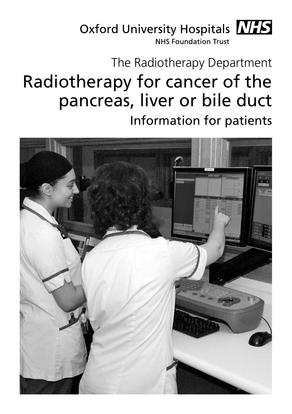

# The Radiotherapy Department Radiotherapy for cancer of the pancreas, liver or bile duct Information for patients

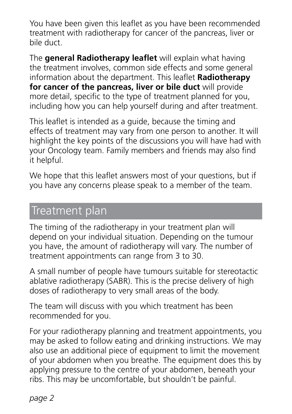You have been given this leaflet as you have been recommended treatment with radiotherapy for cancer of the pancreas, liver or bile duct.

The **general Radiotherapy leaflet** will explain what having the treatment involves, common side effects and some general information about the department. This leaflet **Radiotherapy for cancer of the pancreas, liver or bile duct** will provide more detail, specific to the type of treatment planned for you, including how you can help yourself during and after treatment.

This leaflet is intended as a guide, because the timing and effects of treatment may vary from one person to another. It will highlight the key points of the discussions you will have had with your Oncology team. Family members and friends may also find it helpful.

We hope that this leaflet answers most of your questions, but if you have any concerns please speak to a member of the team.

### Treatment plan

The timing of the radiotherapy in your treatment plan will depend on your individual situation. Depending on the tumour you have, the amount of radiotherapy will vary. The number of treatment appointments can range from 3 to 30.

A small number of people have tumours suitable for stereotactic ablative radiotherapy (SABR). This is the precise delivery of high doses of radiotherapy to very small areas of the body.

The team will discuss with you which treatment has been recommended for you.

For your radiotherapy planning and treatment appointments, you may be asked to follow eating and drinking instructions. We may also use an additional piece of equipment to limit the movement of your abdomen when you breathe. The equipment does this by applying pressure to the centre of your abdomen, beneath your ribs. This may be uncomfortable, but shouldn't be painful.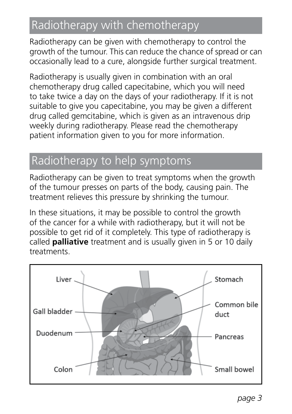# Radiotherapy with chemotherapy

Radiotherapy can be given with chemotherapy to control the growth of the tumour. This can reduce the chance of spread or can occasionally lead to a cure, alongside further surgical treatment.

Radiotherapy is usually given in combination with an oral chemotherapy drug called capecitabine, which you will need to take twice a day on the days of your radiotherapy. If it is not suitable to give you capecitabine, you may be given a different drug called gemcitabine, which is given as an intravenous drip weekly during radiotherapy. Please read the chemotherapy patient information given to you for more information.

# Radiotherapy to help symptoms

Radiotherapy can be given to treat symptoms when the growth of the tumour presses on parts of the body, causing pain. The treatment relieves this pressure by shrinking the tumour.

In these situations, it may be possible to control the growth of the cancer for a while with radiotherapy, but it will not be possible to get rid of it completely. This type of radiotherapy is called **palliative** treatment and is usually given in 5 or 10 daily treatments.

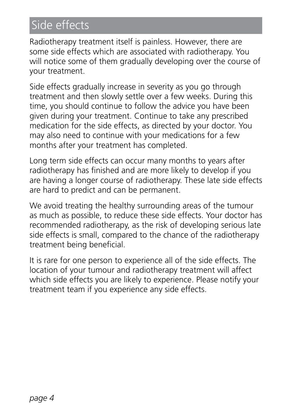# Side effects

Radiotherapy treatment itself is painless. However, there are some side effects which are associated with radiotherapy. You will notice some of them gradually developing over the course of your treatment.

Side effects gradually increase in severity as you go through treatment and then slowly settle over a few weeks. During this time, you should continue to follow the advice you have been given during your treatment. Continue to take any prescribed medication for the side effects, as directed by your doctor. You may also need to continue with your medications for a few months after your treatment has completed.

Long term side effects can occur many months to years after radiotherapy has finished and are more likely to develop if you are having a longer course of radiotherapy. These late side effects are hard to predict and can be permanent.

We avoid treating the healthy surrounding areas of the tumour as much as possible, to reduce these side effects. Your doctor has recommended radiotherapy, as the risk of developing serious late side effects is small, compared to the chance of the radiotherapy treatment being beneficial.

It is rare for one person to experience all of the side effects. The location of your tumour and radiotherapy treatment will affect which side effects you are likely to experience. Please notify your treatment team if you experience any side effects.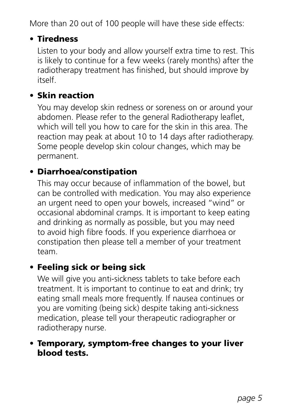More than 20 out of 100 people will have these side effects:

#### • Tiredness

 Listen to your body and allow yourself extra time to rest. This is likely to continue for a few weeks (rarely months) after the radiotherapy treatment has finished, but should improve by itself.

#### • Skin reaction

 You may develop skin redness or soreness on or around your abdomen. Please refer to the general Radiotherapy leaflet, which will tell you how to care for the skin in this area. The reaction may peak at about 10 to 14 days after radiotherapy. Some people develop skin colour changes, which may be permanent.

#### • Diarrhoea/constipation

 This may occur because of inflammation of the bowel, but can be controlled with medication. You may also experience an urgent need to open your bowels, increased "wind" or occasional abdominal cramps. It is important to keep eating and drinking as normally as possible, but you may need to avoid high fibre foods. If you experience diarrhoea or constipation then please tell a member of your treatment team.

#### • Feeling sick or being sick

 We will give you anti-sickness tablets to take before each treatment. It is important to continue to eat and drink; try eating small meals more frequently. If nausea continues or you are vomiting (being sick) despite taking anti-sickness medication, please tell your therapeutic radiographer or radiotherapy nurse.

#### • Temporary, symptom-free changes to your liver blood tests.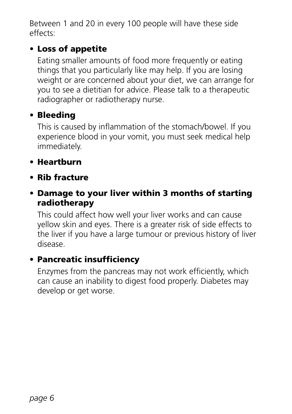Between 1 and 20 in every 100 people will have these side effects:

#### • Loss of appetite

 Eating smaller amounts of food more frequently or eating things that you particularly like may help. If you are losing weight or are concerned about your diet, we can arrange for you to see a dietitian for advice. Please talk to a therapeutic radiographer or radiotherapy nurse.

#### • Bleeding

 This is caused by inflammation of the stomach/bowel. If you experience blood in your vomit, you must seek medical help immediately.

#### • Heartburn

• Rib fracture

#### • Damage to your liver within 3 months of starting radiotherapy

 This could affect how well your liver works and can cause yellow skin and eyes. There is a greater risk of side effects to the liver if you have a large tumour or previous history of liver disease.

#### • Pancreatic insufficiency

 Enzymes from the pancreas may not work efficiently, which can cause an inability to digest food properly. Diabetes may develop or get worse.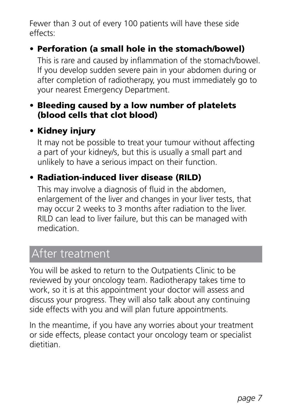Fewer than 3 out of every 100 patients will have these side effects:

#### • Perforation (a small hole in the stomach/bowel)

 This is rare and caused by inflammation of the stomach/bowel. If you develop sudden severe pain in your abdomen during or after completion of radiotherapy, you must immediately go to your nearest Emergency Department.

#### • Bleeding caused by a low number of platelets (blood cells that clot blood)

#### • Kidney injury

 It may not be possible to treat your tumour without affecting a part of your kidney/s, but this is usually a small part and unlikely to have a serious impact on their function.

#### • Radiation-induced liver disease (RILD)

 This may involve a diagnosis of fluid in the abdomen, enlargement of the liver and changes in your liver tests, that may occur 2 weeks to 3 months after radiation to the liver. RILD can lead to liver failure, but this can be managed with medication.

## After treatment

You will be asked to return to the Outpatients Clinic to be reviewed by your oncology team. Radiotherapy takes time to work, so it is at this appointment your doctor will assess and discuss your progress. They will also talk about any continuing side effects with you and will plan future appointments.

In the meantime, if you have any worries about your treatment or side effects, please contact your oncology team or specialist dietitian.